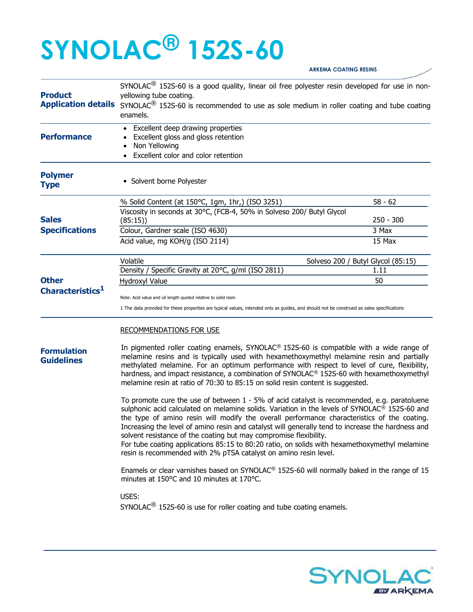## SYNOLAC® 152S-60

| <b>Product</b>                          | SYNOLAC <sup>®</sup> 152S-60 is a good quality, linear oil free polyester resin developed for use in non-<br>yellowing tube coating.                                                                                                                                                                                                                                                                                                                                                                                                                                                                                                                   |                 |  |
|-----------------------------------------|--------------------------------------------------------------------------------------------------------------------------------------------------------------------------------------------------------------------------------------------------------------------------------------------------------------------------------------------------------------------------------------------------------------------------------------------------------------------------------------------------------------------------------------------------------------------------------------------------------------------------------------------------------|-----------------|--|
|                                         | Application details SYNOLAC <sup>®</sup> 152S-60 is recommended to use as sole medium in roller coating and tube coating<br>enamels.<br>• Excellent deep drawing properties<br>Excellent gloss and gloss retention                                                                                                                                                                                                                                                                                                                                                                                                                                     |                 |  |
| <b>Performance</b>                      |                                                                                                                                                                                                                                                                                                                                                                                                                                                                                                                                                                                                                                                        |                 |  |
|                                         | Non Yellowing                                                                                                                                                                                                                                                                                                                                                                                                                                                                                                                                                                                                                                          |                 |  |
|                                         | Excellent color and color retention                                                                                                                                                                                                                                                                                                                                                                                                                                                                                                                                                                                                                    |                 |  |
| <b>Polymer</b><br><b>Type</b>           | • Solvent borne Polyester                                                                                                                                                                                                                                                                                                                                                                                                                                                                                                                                                                                                                              |                 |  |
|                                         | % Solid Content (at 150°C, 1gm, 1hr,) (ISO 3251)                                                                                                                                                                                                                                                                                                                                                                                                                                                                                                                                                                                                       | $58 - 62$       |  |
| <b>Sales</b>                            | Viscosity in seconds at 30°C, (FCB-4, 50% in Solveso 200/ Butyl Glycol                                                                                                                                                                                                                                                                                                                                                                                                                                                                                                                                                                                 |                 |  |
|                                         | (85:15)                                                                                                                                                                                                                                                                                                                                                                                                                                                                                                                                                                                                                                                | $250 - 300$     |  |
| <b>Specifications</b>                   | Colour, Gardner scale (ISO 4630)<br>Acid value, mg KOH/g (ISO 2114)                                                                                                                                                                                                                                                                                                                                                                                                                                                                                                                                                                                    | 3 Max<br>15 Max |  |
|                                         |                                                                                                                                                                                                                                                                                                                                                                                                                                                                                                                                                                                                                                                        |                 |  |
|                                         | Volatile<br>Solveso 200 / Butyl Glycol (85:15)                                                                                                                                                                                                                                                                                                                                                                                                                                                                                                                                                                                                         |                 |  |
|                                         | Density / Specific Gravity at 20°C, g/ml (ISO 2811)                                                                                                                                                                                                                                                                                                                                                                                                                                                                                                                                                                                                    | 1.11            |  |
| <b>Other</b>                            | Hydroxyl Value                                                                                                                                                                                                                                                                                                                                                                                                                                                                                                                                                                                                                                         | 50              |  |
| Characteristics <sup>1</sup>            | Note: Acid value and oil length quoted relative to solid resin                                                                                                                                                                                                                                                                                                                                                                                                                                                                                                                                                                                         |                 |  |
|                                         | 1 The data provided for these properties are typical values, intended only as guides, and should not be construed as sales specifications                                                                                                                                                                                                                                                                                                                                                                                                                                                                                                              |                 |  |
|                                         | <b>RECOMMENDATIONS FOR USE</b>                                                                                                                                                                                                                                                                                                                                                                                                                                                                                                                                                                                                                         |                 |  |
| <b>Formulation</b><br><b>Guidelines</b> | In pigmented roller coating enamels, SYNOLAC <sup>®</sup> 152S-60 is compatible with a wide range of<br>melamine resins and is typically used with hexamethoxymethyl melamine resin and partially<br>methylated melamine. For an optimum performance with respect to level of cure, flexibility,<br>hardness, and impact resistance, a combination of SYNOLAC® 152S-60 with hexamethoxymethyl<br>melamine resin at ratio of 70:30 to 85:15 on solid resin content is suggested.                                                                                                                                                                        |                 |  |
|                                         | To promote cure the use of between 1 - 5% of acid catalyst is recommended, e.g. paratoluene<br>sulphonic acid calculated on melamine solids. Variation in the levels of SYNOLAC <sup>®</sup> 152S-60 and<br>the type of amino resin will modify the overall performance characteristics of the coating.<br>Increasing the level of amino resin and catalyst will generally tend to increase the hardness and<br>solvent resistance of the coating but may compromise flexibility.<br>For tube coating applications 85:15 to 80:20 ratio, on solids with hexamethoxymethyl melamine<br>resin is recommended with 2% pTSA catalyst on amino resin level. |                 |  |
|                                         | Enamels or clear varnishes based on SYNOLAC <sup>®</sup> 152S-60 will normally baked in the range of 15<br>minutes at 150°C and 10 minutes at 170°C.                                                                                                                                                                                                                                                                                                                                                                                                                                                                                                   |                 |  |
|                                         | USES:<br>$SYNOLAC^{\circledR}$ 152S-60 is use for roller coating and tube coating enamels.                                                                                                                                                                                                                                                                                                                                                                                                                                                                                                                                                             |                 |  |
|                                         |                                                                                                                                                                                                                                                                                                                                                                                                                                                                                                                                                                                                                                                        |                 |  |



ARKEMA COATING RESINS